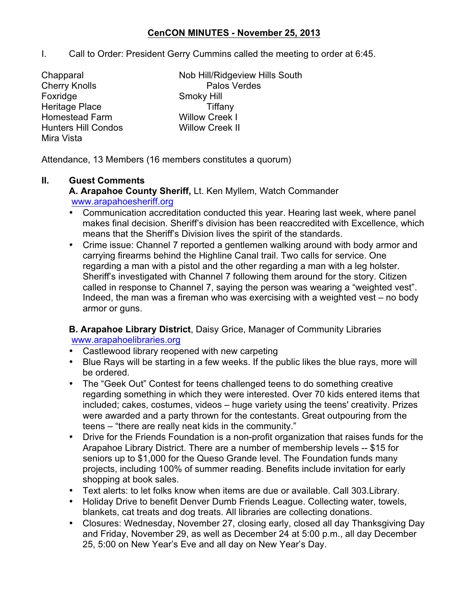## **CenCON MINUTES - November 25, 2013**

- I. Call to Order: President Gerry Cummins called the meeting to order at 6:45.
- Foxridge Smoky Hill Heritage Place Tiffany Homestead Farm Willow Creek I Hunters Hill Condos Willow Creek II Mira Vista
- Chapparal Nob Hill/Ridgeview Hills South Cherry Knolls **Palos Verdes**

Attendance, 13 Members (16 members constitutes a quorum)

### **II. Guest Comments**

**A. Arapahoe County Sheriff,** Lt. Ken Myllem, Watch Commander www.arapahoesheriff.org

- Communication accreditation conducted this year. Hearing last week, where panel makes final decision. Sheriff's division has been reaccredited with Excellence, which means that the Sheriff's Division lives the spirit of the standards.
- Crime issue: Channel 7 reported a gentlemen walking around with body armor and carrying firearms behind the Highline Canal trail. Two calls for service. One regarding a man with a pistol and the other regarding a man with a leg holster. Sheriff's investigated with Channel 7 following them around for the story. Citizen called in response to Channel 7, saying the person was wearing a "weighted vest". Indeed, the man was a fireman who was exercising with a weighted vest – no body armor or guns.

**B. Arapahoe Library District**, Daisy Grice, Manager of Community Libraries www.arapahoelibraries.org

- Castlewood library reopened with new carpeting
- Blue Rays will be starting in a few weeks. If the public likes the blue rays, more will be ordered.
- The "Geek Out" Contest for teens challenged teens to do something creative regarding something in which they were interested. Over 70 kids entered items that included; cakes, costumes, videos – huge variety using the teens' creativity. Prizes were awarded and a party thrown for the contestants. Great outpouring from the teens – "there are really neat kids in the community."
- Drive for the Friends Foundation is a non-profit organization that raises funds for the Arapahoe Library District. There are a number of membership levels -- \$15 for seniors up to \$1,000 for the Queso Grande level. The Foundation funds many projects, including 100% of summer reading. Benefits include invitation for early shopping at book sales.
- Text alerts: to let folks know when items are due or available. Call 303.Library.
- Holiday Drive to benefit Denver Dumb Friends League. Collecting water, towels, blankets, cat treats and dog treats. All libraries are collecting donations.
- Closures: Wednesday, November 27, closing early, closed all day Thanksgiving Day and Friday, November 29, as well as December 24 at 5:00 p.m., all day December 25, 5:00 on New Year's Eve and all day on New Year's Day.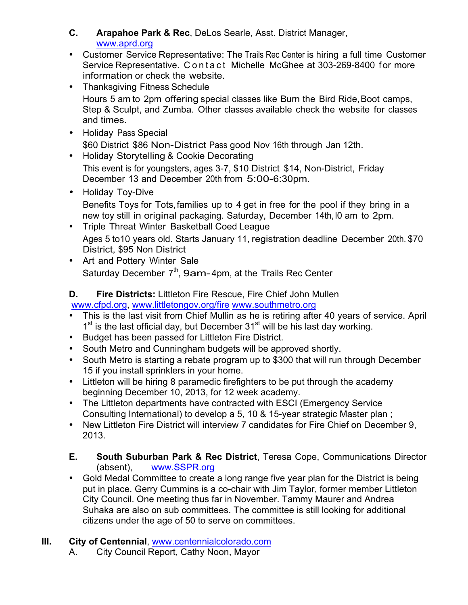- **C. Arapahoe Park & Rec**, DeLos Searle, Asst. District Manager, www.aprd.org
- Customer Service Representative: The Trails Rec Center is hiring a full time Customer Service Representative. Contact Michelle McGhee at 303-269-8400 for more information or check the website.
- Thanksgiving Fitness Schedule Hours 5 am to 2pm offering special classes like Burn the Bird Ride, Boot camps, Step & Sculpt, and Zumba. Other classes available check the website for classes and times.
- Holiday Pass Special \$60 District \$86 Non-District Pass good Nov 16th through Jan 12th.
- Holiday Storytelling & Cookie Decorating This event is for youngsters, ages 3-7, \$10 District \$14, Non-District, Friday December 13 and December 20th from 5:00-6:30pm.
- Holiday Toy-Dive Benefits Toys for Tots,families up to 4 get in free for the pool if they bring in a new toy still in original packaging. Saturday, December 14th,l0 am to 2pm.
- Triple Threat Winter Basketball Coed League Ages 5 to10 years old. Starts January 11, registration deadline December 20th. \$70 District, \$95 Non District
- Art and Pottery Winter Sale Saturday December  $7<sup>th</sup>$ , 9am-4pm, at the Trails Rec Center

# **D. Fire Districts:** Littleton Fire Rescue, Fire Chief John Mullen

www.cfpd.org, www.littletongov.org/fire www.southmetro.org

- This is the last visit from Chief Mullin as he is retiring after 40 years of service. April  $1<sup>st</sup>$  is the last official day, but December  $31<sup>st</sup>$  will be his last day working.
- Budget has been passed for Littleton Fire District.
- South Metro and Cunningham budgets will be approved shortly.
- South Metro is starting a rebate program up to \$300 that will run through December 15 if you install sprinklers in your home.
- Littleton will be hiring 8 paramedic firefighters to be put through the academy beginning December 10, 2013, for 12 week academy.
- The Littleton departments have contracted with ESCI (Emergency Service Consulting International) to develop a 5, 10 & 15-year strategic Master plan ;
- New Littleton Fire District will interview 7 candidates for Fire Chief on December 9, 2013.
- **E. South Suburban Park & Rec District**, Teresa Cope, Communications Director (absent), www.SSPR.org
- Gold Medal Committee to create a long range five year plan for the District is being put in place. Gerry Cummins is a co-chair with Jim Taylor, former member Littleton City Council. One meeting thus far in November. Tammy Maurer and Andrea Suhaka are also on sub committees. The committee is still looking for additional citizens under the age of 50 to serve on committees.

# **III. City of Centennial**, www.centennialcolorado.com

A. City Council Report, Cathy Noon, Mayor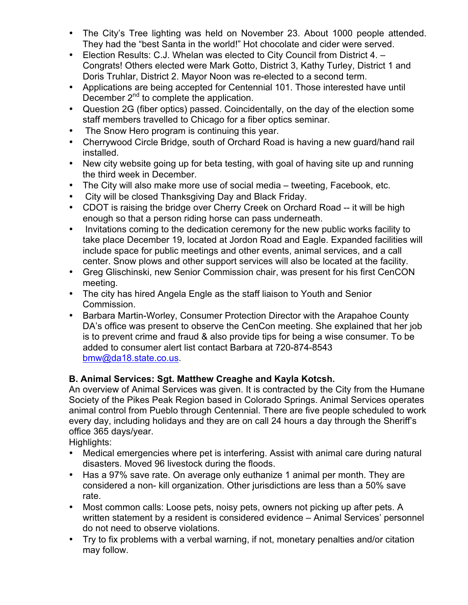- The City's Tree lighting was held on November 23. About 1000 people attended. They had the "best Santa in the world!" Hot chocolate and cider were served.
- Election Results: C.J. Whelan was elected to City Council from District 4. Congrats! Others elected were Mark Gotto, District 3, Kathy Turley, District 1 and Doris Truhlar, District 2. Mayor Noon was re-elected to a second term.
- Applications are being accepted for Centennial 101. Those interested have until December 2<sup>nd</sup> to complete the application.
- Question 2G (fiber optics) passed. Coincidentally, on the day of the election some staff members travelled to Chicago for a fiber optics seminar.
- The Snow Hero program is continuing this year.
- Cherrywood Circle Bridge, south of Orchard Road is having a new guard/hand rail installed.
- New city website going up for beta testing, with goal of having site up and running the third week in December.
- The City will also make more use of social media tweeting, Facebook, etc.
- City will be closed Thanksgiving Day and Black Friday.
- CDOT is raising the bridge over Cherry Creek on Orchard Road -- it will be high enough so that a person riding horse can pass underneath.
- Invitations coming to the dedication ceremony for the new public works facility to take place December 19, located at Jordon Road and Eagle. Expanded facilities will include space for public meetings and other events, animal services, and a call center. Snow plows and other support services will also be located at the facility.
- Greg Glischinski, new Senior Commission chair, was present for his first CenCON meeting.
- The city has hired Angela Engle as the staff liaison to Youth and Senior Commission.
- Barbara Martin-Worley, Consumer Protection Director with the Arapahoe County DA's office was present to observe the CenCon meeting. She explained that her job is to prevent crime and fraud & also provide tips for being a wise consumer. To be added to consumer alert list contact Barbara at 720-874-8543 bmw@da18.state.co.us.

# **B. Animal Services: Sgt. Matthew Creaghe and Kayla Kotcsh.**

An overview of Animal Services was given. It is contracted by the City from the Humane Society of the Pikes Peak Region based in Colorado Springs. Animal Services operates animal control from Pueblo through Centennial. There are five people scheduled to work every day, including holidays and they are on call 24 hours a day through the Sheriff's office 365 days/year.

Highlights:

- Medical emergencies where pet is interfering. Assist with animal care during natural disasters. Moved 96 livestock during the floods.
- Has a 97% save rate. On average only euthanize 1 animal per month. They are considered a non- kill organization. Other jurisdictions are less than a 50% save rate.
- Most common calls: Loose pets, noisy pets, owners not picking up after pets. A written statement by a resident is considered evidence – Animal Services' personnel do not need to observe violations.
- Try to fix problems with a verbal warning, if not, monetary penalties and/or citation may follow.